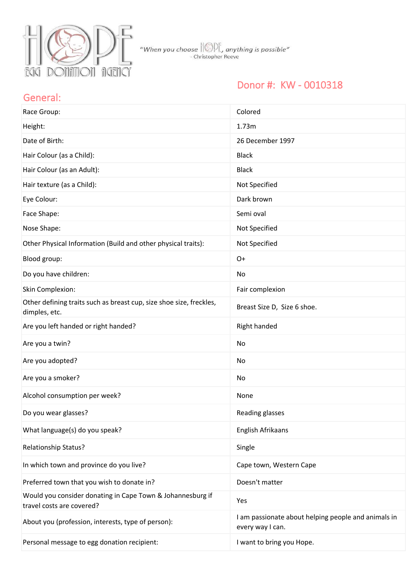

### Donor #: KW - 0010318

#### General:

| Race Group:                                                                             | Colored                                                                 |
|-----------------------------------------------------------------------------------------|-------------------------------------------------------------------------|
| Height:                                                                                 | 1.73m                                                                   |
| Date of Birth:                                                                          | 26 December 1997                                                        |
| Hair Colour (as a Child):                                                               | <b>Black</b>                                                            |
| Hair Colour (as an Adult):                                                              | <b>Black</b>                                                            |
| Hair texture (as a Child):                                                              | Not Specified                                                           |
| Eye Colour:                                                                             | Dark brown                                                              |
| Face Shape:                                                                             | Semi oval                                                               |
| Nose Shape:                                                                             | Not Specified                                                           |
| Other Physical Information (Build and other physical traits):                           | Not Specified                                                           |
| Blood group:                                                                            | $O+$                                                                    |
| Do you have children:                                                                   | No                                                                      |
| Skin Complexion:                                                                        | Fair complexion                                                         |
| Other defining traits such as breast cup, size shoe size, freckles,<br>dimples, etc.    | Breast Size D, Size 6 shoe.                                             |
| Are you left handed or right handed?                                                    | Right handed                                                            |
| Are you a twin?                                                                         | No                                                                      |
| Are you adopted?                                                                        | No                                                                      |
| Are you a smoker?                                                                       | No                                                                      |
| Alcohol consumption per week?                                                           | None                                                                    |
| Do you wear glasses?                                                                    | Reading glasses                                                         |
| What language(s) do you speak?                                                          | English Afrikaans                                                       |
| Relationship Status?                                                                    | Single                                                                  |
| In which town and province do you live?                                                 | Cape town, Western Cape                                                 |
| Preferred town that you wish to donate in?                                              | Doesn't matter                                                          |
| Would you consider donating in Cape Town & Johannesburg if<br>travel costs are covered? | Yes                                                                     |
| About you (profession, interests, type of person):                                      | I am passionate about helping people and animals in<br>every way I can. |
| Personal message to egg donation recipient:                                             | I want to bring you Hope.                                               |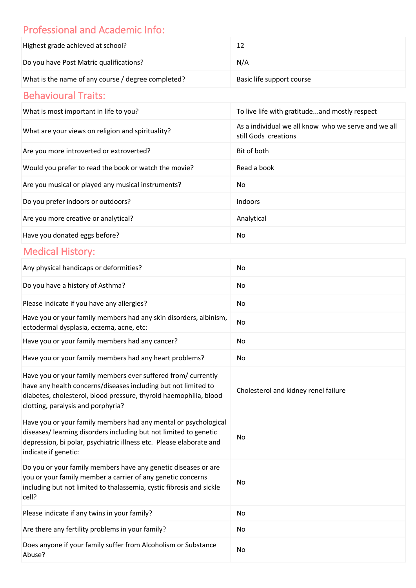# Professional and Academic Info:

| Highest grade achieved at school?                  | 12                        |
|----------------------------------------------------|---------------------------|
| Do you have Post Matric qualifications?            | N/A                       |
| What is the name of any course / degree completed? | Basic life support course |

## Behavioural Traits:

| What is most important in life to you?                | To live life with gratitudeand mostly respect                               |
|-------------------------------------------------------|-----------------------------------------------------------------------------|
| What are your views on religion and spirituality?     | As a individual we all know who we serve and we all<br>still Gods creations |
| Are you more introverted or extroverted?              | Bit of both                                                                 |
| Would you prefer to read the book or watch the movie? | Read a book                                                                 |
| Are you musical or played any musical instruments?    | No                                                                          |
| Do you prefer indoors or outdoors?                    | Indoors                                                                     |
| Are you more creative or analytical?                  | Analytical                                                                  |
| Have you donated eggs before?                         | No                                                                          |

# Medical History:

| Any physical handicaps or deformities?                                                                                                                                                                                                     | No                                   |
|--------------------------------------------------------------------------------------------------------------------------------------------------------------------------------------------------------------------------------------------|--------------------------------------|
| Do you have a history of Asthma?                                                                                                                                                                                                           | No                                   |
| Please indicate if you have any allergies?                                                                                                                                                                                                 | No                                   |
| Have you or your family members had any skin disorders, albinism,<br>ectodermal dysplasia, eczema, acne, etc:                                                                                                                              | No                                   |
| Have you or your family members had any cancer?                                                                                                                                                                                            | No                                   |
| Have you or your family members had any heart problems?                                                                                                                                                                                    | No                                   |
| Have you or your family members ever suffered from/ currently<br>have any health concerns/diseases including but not limited to<br>diabetes, cholesterol, blood pressure, thyroid haemophilia, blood<br>clotting, paralysis and porphyria? | Cholesterol and kidney renel failure |
| Have you or your family members had any mental or psychological<br>diseases/ learning disorders including but not limited to genetic<br>depression, bi polar, psychiatric illness etc. Please elaborate and<br>indicate if genetic:        | <b>No</b>                            |
| Do you or your family members have any genetic diseases or are<br>you or your family member a carrier of any genetic concerns<br>including but not limited to thalassemia, cystic fibrosis and sickle<br>cell?                             | No                                   |
| Please indicate if any twins in your family?                                                                                                                                                                                               | No                                   |
| Are there any fertility problems in your family?                                                                                                                                                                                           | No                                   |
| Does anyone if your family suffer from Alcoholism or Substance<br>Abuse?                                                                                                                                                                   | No                                   |